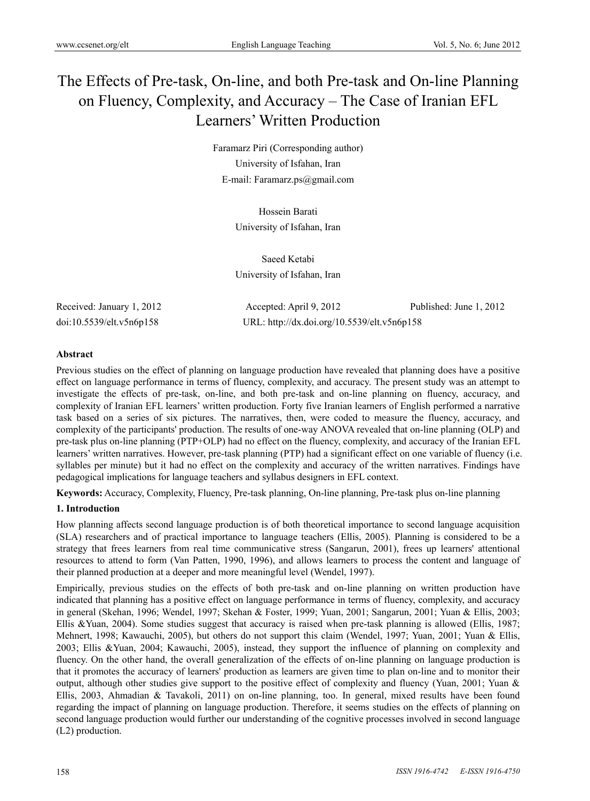# The Effects of Pre-task, On-line, and both Pre-task and On-line Planning on Fluency, Complexity, and Accuracy – The Case of Iranian EFL Learners' Written Production

Faramarz Piri (Corresponding author) University of Isfahan, Iran E-mail: Faramarz.ps@gmail.com

> Hossein Barati University of Isfahan, Iran

Saeed Ketabi University of Isfahan, Iran

Received: January 1, 2012 Accepted: April 9, 2012 Published: June 1, 2012 doi:10.5539/elt.v5n6p158 URL: http://dx.doi.org/10.5539/elt.v5n6p158

# **Abstract**

Previous studies on the effect of planning on language production have revealed that planning does have a positive effect on language performance in terms of fluency, complexity, and accuracy. The present study was an attempt to investigate the effects of pre-task, on-line, and both pre-task and on-line planning on fluency, accuracy, and complexity of Iranian EFL learners' written production. Forty five Iranian learners of English performed a narrative task based on a series of six pictures. The narratives, then, were coded to measure the fluency, accuracy, and complexity of the participants' production. The results of one-way ANOVA revealed that on-line planning (OLP) and pre-task plus on-line planning (PTP+OLP) had no effect on the fluency, complexity, and accuracy of the Iranian EFL learners' written narratives. However, pre-task planning (PTP) had a significant effect on one variable of fluency (i.e. syllables per minute) but it had no effect on the complexity and accuracy of the written narratives. Findings have pedagogical implications for language teachers and syllabus designers in EFL context.

**Keywords:** Accuracy, Complexity, Fluency, Pre-task planning, On-line planning, Pre-task plus on-line planning

# **1. Introduction**

How planning affects second language production is of both theoretical importance to second language acquisition (SLA) researchers and of practical importance to language teachers (Ellis, 2005). Planning is considered to be a strategy that frees learners from real time communicative stress (Sangarun, 2001), frees up learners' attentional resources to attend to form (Van Patten, 1990, 1996), and allows learners to process the content and language of their planned production at a deeper and more meaningful level (Wendel, 1997).

Empirically, previous studies on the effects of both pre-task and on-line planning on written production have indicated that planning has a positive effect on language performance in terms of fluency, complexity, and accuracy in general (Skehan, 1996; Wendel, 1997; Skehan & Foster, 1999; Yuan, 2001; Sangarun, 2001; Yuan & Ellis, 2003; Ellis &Yuan, 2004). Some studies suggest that accuracy is raised when pre-task planning is allowed (Ellis, 1987; Mehnert, 1998; Kawauchi, 2005), but others do not support this claim (Wendel, 1997; Yuan, 2001; Yuan & Ellis, 2003; Ellis &Yuan, 2004; Kawauchi, 2005), instead, they support the influence of planning on complexity and fluency. On the other hand, the overall generalization of the effects of on-line planning on language production is that it promotes the accuracy of learners' production as learners are given time to plan on-line and to monitor their output, although other studies give support to the positive effect of complexity and fluency (Yuan, 2001; Yuan & Ellis, 2003, Ahmadian & Tavakoli, 2011) on on-line planning, too. In general, mixed results have been found regarding the impact of planning on language production. Therefore, it seems studies on the effects of planning on second language production would further our understanding of the cognitive processes involved in second language (L2) production.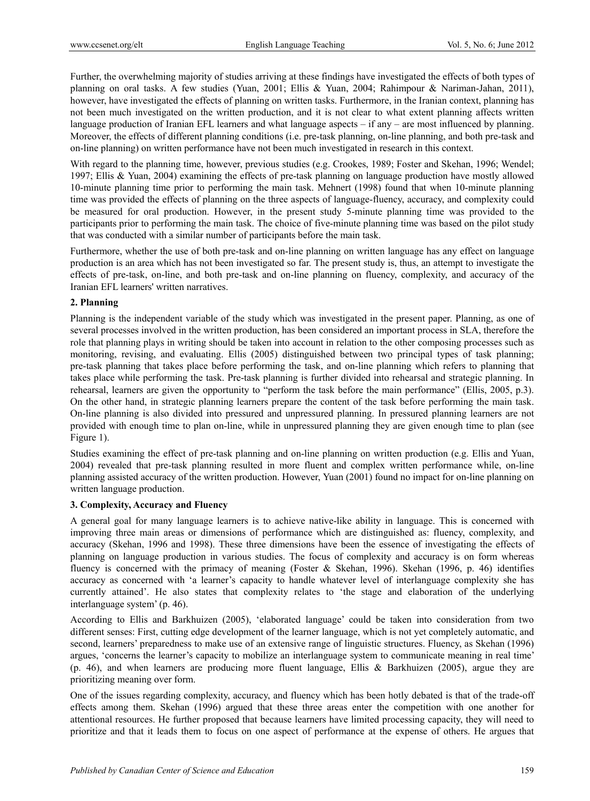Further, the overwhelming majority of studies arriving at these findings have investigated the effects of both types of planning on oral tasks. A few studies (Yuan, 2001; Ellis & Yuan, 2004; Rahimpour & Nariman-Jahan, 2011), however, have investigated the effects of planning on written tasks. Furthermore, in the Iranian context, planning has not been much investigated on the written production, and it is not clear to what extent planning affects written language production of Iranian EFL learners and what language aspects – if any – are most influenced by planning. Moreover, the effects of different planning conditions (i.e. pre-task planning, on-line planning, and both pre-task and on-line planning) on written performance have not been much investigated in research in this context.

With regard to the planning time, however, previous studies (e.g. Crookes, 1989; Foster and Skehan, 1996; Wendel; 1997; Ellis & Yuan, 2004) examining the effects of pre-task planning on language production have mostly allowed 10-minute planning time prior to performing the main task. Mehnert (1998) found that when 10-minute planning time was provided the effects of planning on the three aspects of language-fluency, accuracy, and complexity could be measured for oral production. However, in the present study 5-minute planning time was provided to the participants prior to performing the main task. The choice of five-minute planning time was based on the pilot study that was conducted with a similar number of participants before the main task.

Furthermore, whether the use of both pre-task and on-line planning on written language has any effect on language production is an area which has not been investigated so far. The present study is, thus, an attempt to investigate the effects of pre-task, on-line, and both pre-task and on-line planning on fluency, complexity, and accuracy of the Iranian EFL learners' written narratives.

### **2. Planning**

Planning is the independent variable of the study which was investigated in the present paper. Planning, as one of several processes involved in the written production, has been considered an important process in SLA, therefore the role that planning plays in writing should be taken into account in relation to the other composing processes such as monitoring, revising, and evaluating. Ellis (2005) distinguished between two principal types of task planning; pre-task planning that takes place before performing the task, and on-line planning which refers to planning that takes place while performing the task. Pre-task planning is further divided into rehearsal and strategic planning. In rehearsal, learners are given the opportunity to "perform the task before the main performance" (Ellis, 2005, p.3). On the other hand, in strategic planning learners prepare the content of the task before performing the main task. On-line planning is also divided into pressured and unpressured planning. In pressured planning learners are not provided with enough time to plan on-line, while in unpressured planning they are given enough time to plan (see Figure 1).

Studies examining the effect of pre-task planning and on-line planning on written production (e.g. Ellis and Yuan, 2004) revealed that pre-task planning resulted in more fluent and complex written performance while, on-line planning assisted accuracy of the written production. However, Yuan (2001) found no impact for on-line planning on written language production.

### **3. Complexity, Accuracy and Fluency**

A general goal for many language learners is to achieve native-like ability in language. This is concerned with improving three main areas or dimensions of performance which are distinguished as: fluency, complexity, and accuracy (Skehan, 1996 and 1998). These three dimensions have been the essence of investigating the effects of planning on language production in various studies. The focus of complexity and accuracy is on form whereas fluency is concerned with the primacy of meaning (Foster & Skehan, 1996). Skehan (1996, p. 46) identifies accuracy as concerned with 'a learner's capacity to handle whatever level of interlanguage complexity she has currently attained'. He also states that complexity relates to 'the stage and elaboration of the underlying interlanguage system' (p. 46).

According to Ellis and Barkhuizen (2005), 'elaborated language' could be taken into consideration from two different senses: First, cutting edge development of the learner language, which is not yet completely automatic, and second, learners' preparedness to make use of an extensive range of linguistic structures. Fluency, as Skehan (1996) argues, 'concerns the learner's capacity to mobilize an interlanguage system to communicate meaning in real time' (p. 46), and when learners are producing more fluent language, Ellis & Barkhuizen (2005), argue they are prioritizing meaning over form.

One of the issues regarding complexity, accuracy, and fluency which has been hotly debated is that of the trade-off effects among them. Skehan (1996) argued that these three areas enter the competition with one another for attentional resources. He further proposed that because learners have limited processing capacity, they will need to prioritize and that it leads them to focus on one aspect of performance at the expense of others. He argues that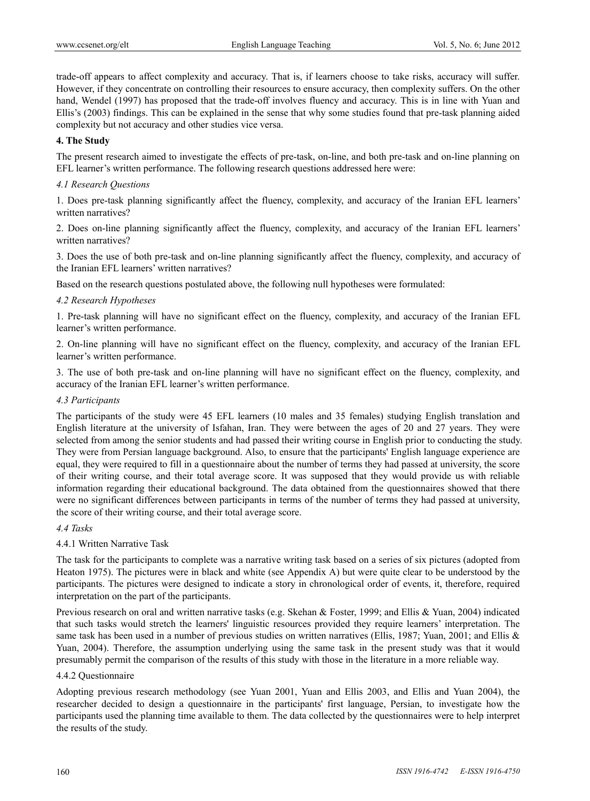trade-off appears to affect complexity and accuracy. That is, if learners choose to take risks, accuracy will suffer. However, if they concentrate on controlling their resources to ensure accuracy, then complexity suffers. On the other hand, Wendel (1997) has proposed that the trade-off involves fluency and accuracy. This is in line with Yuan and Ellis's (2003) findings. This can be explained in the sense that why some studies found that pre-task planning aided complexity but not accuracy and other studies vice versa.

#### **4. The Study**

The present research aimed to investigate the effects of pre-task, on-line, and both pre-task and on-line planning on EFL learner's written performance. The following research questions addressed here were:

#### *4.1 Research Questions*

1. Does pre-task planning significantly affect the fluency, complexity, and accuracy of the Iranian EFL learners' written narratives?

2. Does on-line planning significantly affect the fluency, complexity, and accuracy of the Iranian EFL learners' written narratives?

3. Does the use of both pre-task and on-line planning significantly affect the fluency, complexity, and accuracy of the Iranian EFL learners' written narratives?

Based on the research questions postulated above, the following null hypotheses were formulated:

#### *4.2 Research Hypotheses*

1. Pre-task planning will have no significant effect on the fluency, complexity, and accuracy of the Iranian EFL learner's written performance.

2. On-line planning will have no significant effect on the fluency, complexity, and accuracy of the Iranian EFL learner's written performance.

3. The use of both pre-task and on-line planning will have no significant effect on the fluency, complexity, and accuracy of the Iranian EFL learner's written performance.

## *4.3 Participants*

The participants of the study were 45 EFL learners (10 males and 35 females) studying English translation and English literature at the university of Isfahan, Iran. They were between the ages of 20 and 27 years. They were selected from among the senior students and had passed their writing course in English prior to conducting the study. They were from Persian language background. Also, to ensure that the participants' English language experience are equal, they were required to fill in a questionnaire about the number of terms they had passed at university, the score of their writing course, and their total average score. It was supposed that they would provide us with reliable information regarding their educational background. The data obtained from the questionnaires showed that there were no significant differences between participants in terms of the number of terms they had passed at university, the score of their writing course, and their total average score.

### *4.4 Tasks*

### 4.4.1 Written Narrative Task

The task for the participants to complete was a narrative writing task based on a series of six pictures (adopted from Heaton 1975). The pictures were in black and white (see Appendix A) but were quite clear to be understood by the participants. The pictures were designed to indicate a story in chronological order of events, it, therefore, required interpretation on the part of the participants.

Previous research on oral and written narrative tasks (e.g. Skehan & Foster, 1999; and Ellis & Yuan, 2004) indicated that such tasks would stretch the learners' linguistic resources provided they require learners' interpretation. The same task has been used in a number of previous studies on written narratives (Ellis, 1987; Yuan, 2001; and Ellis & Yuan, 2004). Therefore, the assumption underlying using the same task in the present study was that it would presumably permit the comparison of the results of this study with those in the literature in a more reliable way.

#### 4.4.2 Questionnaire

Adopting previous research methodology (see Yuan 2001, Yuan and Ellis 2003, and Ellis and Yuan 2004), the researcher decided to design a questionnaire in the participants' first language, Persian, to investigate how the participants used the planning time available to them. The data collected by the questionnaires were to help interpret the results of the study.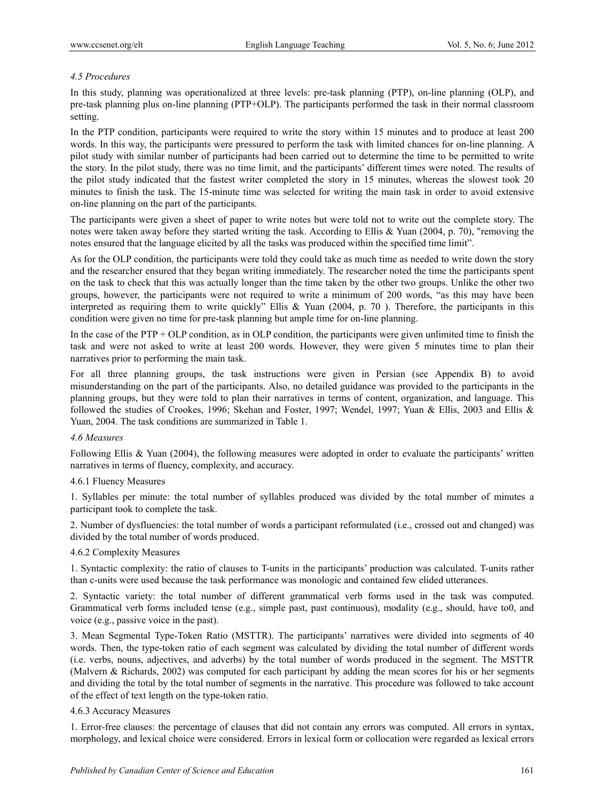# *4.5 Procedures*

In this study, planning was operationalized at three levels: pre-task planning (PTP), on-line planning (OLP), and pre-task planning plus on-line planning (PTP+OLP). The participants performed the task in their normal classroom setting.

In the PTP condition, participants were required to write the story within 15 minutes and to produce at least 200 words. In this way, the participants were pressured to perform the task with limited chances for on-line planning. A pilot study with similar number of participants had been carried out to determine the time to be permitted to write the story. In the pilot study, there was no time limit, and the participants' different times were noted. The results of the pilot study indicated that the fastest writer completed the story in 15 minutes, whereas the slowest took 20 minutes to finish the task. The 15-minute time was selected for writing the main task in order to avoid extensive on-line planning on the part of the participants.

The participants were given a sheet of paper to write notes but were told not to write out the complete story. The notes were taken away before they started writing the task. According to Ellis & Yuan (2004, p. 70), "removing the notes ensured that the language elicited by all the tasks was produced within the specified time limit".

As for the OLP condition, the participants were told they could take as much time as needed to write down the story and the researcher ensured that they began writing immediately. The researcher noted the time the participants spent on the task to check that this was actually longer than the time taken by the other two groups. Unlike the other two groups, however, the participants were not required to write a minimum of 200 words, "as this may have been interpreted as requiring them to write quickly" Ellis & Yuan (2004, p. 70 ). Therefore, the participants in this condition were given no time for pre-task planning but ample time for on-line planning.

In the case of the PTP + OLP condition, as in OLP condition, the participants were given unlimited time to finish the task and were not asked to write at least 200 words. However, they were given 5 minutes time to plan their narratives prior to performing the main task.

For all three planning groups, the task instructions were given in Persian (see Appendix B) to avoid misunderstanding on the part of the participants. Also, no detailed guidance was provided to the participants in the planning groups, but they were told to plan their narratives in terms of content, organization, and language. This followed the studies of Crookes, 1996; Skehan and Foster, 1997; Wendel, 1997; Yuan & Ellis, 2003 and Ellis & Yuan, 2004. The task conditions are summarized in Table 1.

### *4.6 Measures*

Following Ellis & Yuan (2004), the following measures were adopted in order to evaluate the participants' written narratives in terms of fluency, complexity, and accuracy.

### 4.6.1 Fluency Measures

1. Syllables per minute: the total number of syllables produced was divided by the total number of minutes a participant took to complete the task.

2. Number of dysfluencies: the total number of words a participant reformulated (i.e., crossed out and changed) was divided by the total number of words produced.

### 4.6.2 Complexity Measures

1. Syntactic complexity: the ratio of clauses to T-units in the participants' production was calculated. T-units rather than c-units were used because the task performance was monologic and contained few elided utterances.

2. Syntactic variety: the total number of different grammatical verb forms used in the task was computed. Grammatical verb forms included tense (e.g., simple past, past continuous), modality (e.g., should, have to0, and voice (e.g., passive voice in the past).

3. Mean Segmental Type-Token Ratio (MSTTR). The participants' narratives were divided into segments of 40 words. Then, the type-token ratio of each segment was calculated by dividing the total number of different words (i.e. verbs, nouns, adjectives, and adverbs) by the total number of words produced in the segment. The MSTTR (Malvern & Richards, 2002) was computed for each participant by adding the mean scores for his or her segments and dividing the total by the total number of segments in the narrative. This procedure was followed to take account of the effect of text length on the type-token ratio.

## 4.6.3 Accuracy Measures

1. Error-free clauses: the percentage of clauses that did not contain any errors was computed. All errors in syntax, morphology, and lexical choice were considered. Errors in lexical form or collocation were regarded as lexical errors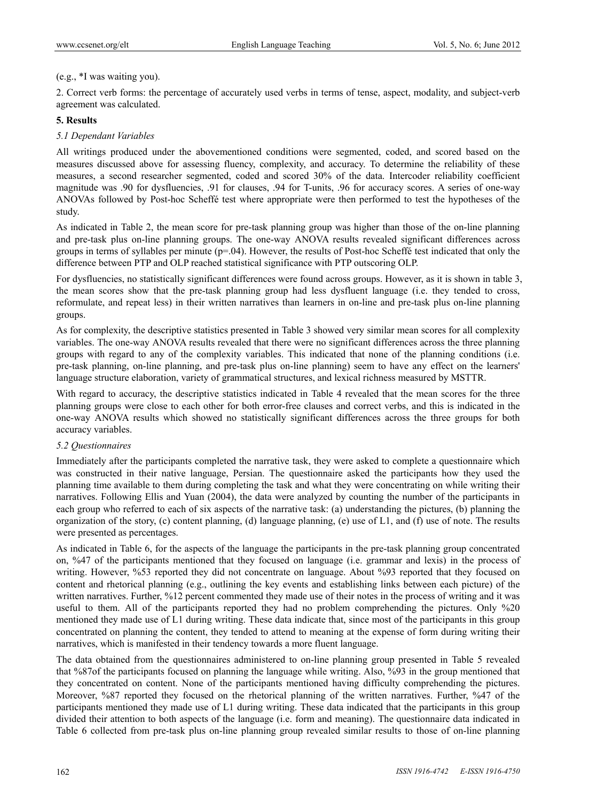## (e.g., \*I was waiting you).

2. Correct verb forms: the percentage of accurately used verbs in terms of tense, aspect, modality, and subject-verb agreement was calculated.

## **5. Results**

# *5.1 Dependant Variables*

All writings produced under the abovementioned conditions were segmented, coded, and scored based on the measures discussed above for assessing fluency, complexity, and accuracy. To determine the reliability of these measures, a second researcher segmented, coded and scored 30% of the data. Intercoder reliability coefficient magnitude was .90 for dysfluencies, .91 for clauses, .94 for T-units, .96 for accuracy scores. A series of one-way ANOVAs followed by Post-hoc Scheffé test where appropriate were then performed to test the hypotheses of the study.

As indicated in Table 2, the mean score for pre-task planning group was higher than those of the on-line planning and pre-task plus on-line planning groups. The one-way ANOVA results revealed significant differences across groups in terms of syllables per minute (p=.04). However, the results of Post-hoc Scheffé test indicated that only the difference between PTP and OLP reached statistical significance with PTP outscoring OLP.

For dysfluencies, no statistically significant differences were found across groups. However, as it is shown in table 3, the mean scores show that the pre-task planning group had less dysfluent language (i.e. they tended to cross, reformulate, and repeat less) in their written narratives than learners in on-line and pre-task plus on-line planning groups.

As for complexity, the descriptive statistics presented in Table 3 showed very similar mean scores for all complexity variables. The one-way ANOVA results revealed that there were no significant differences across the three planning groups with regard to any of the complexity variables. This indicated that none of the planning conditions (i.e. pre-task planning, on-line planning, and pre-task plus on-line planning) seem to have any effect on the learners' language structure elaboration, variety of grammatical structures, and lexical richness measured by MSTTR.

With regard to accuracy, the descriptive statistics indicated in Table 4 revealed that the mean scores for the three planning groups were close to each other for both error-free clauses and correct verbs, and this is indicated in the one-way ANOVA results which showed no statistically significant differences across the three groups for both accuracy variables.

### *5.2 Questionnaires*

Immediately after the participants completed the narrative task, they were asked to complete a questionnaire which was constructed in their native language, Persian. The questionnaire asked the participants how they used the planning time available to them during completing the task and what they were concentrating on while writing their narratives. Following Ellis and Yuan (2004), the data were analyzed by counting the number of the participants in each group who referred to each of six aspects of the narrative task: (a) understanding the pictures, (b) planning the organization of the story, (c) content planning, (d) language planning, (e) use of L1, and (f) use of note. The results were presented as percentages.

As indicated in Table 6, for the aspects of the language the participants in the pre-task planning group concentrated on, %47 of the participants mentioned that they focused on language (i.e. grammar and lexis) in the process of writing. However, %53 reported they did not concentrate on language. About %93 reported that they focused on content and rhetorical planning (e.g., outlining the key events and establishing links between each picture) of the written narratives. Further, %12 percent commented they made use of their notes in the process of writing and it was useful to them. All of the participants reported they had no problem comprehending the pictures. Only %20 mentioned they made use of L1 during writing. These data indicate that, since most of the participants in this group concentrated on planning the content, they tended to attend to meaning at the expense of form during writing their narratives, which is manifested in their tendency towards a more fluent language.

The data obtained from the questionnaires administered to on-line planning group presented in Table 5 revealed that %87of the participants focused on planning the language while writing. Also, %93 in the group mentioned that they concentrated on content. None of the participants mentioned having difficulty comprehending the pictures. Moreover, %87 reported they focused on the rhetorical planning of the written narratives. Further, %47 of the participants mentioned they made use of L1 during writing. These data indicated that the participants in this group divided their attention to both aspects of the language (i.e. form and meaning). The questionnaire data indicated in Table 6 collected from pre-task plus on-line planning group revealed similar results to those of on-line planning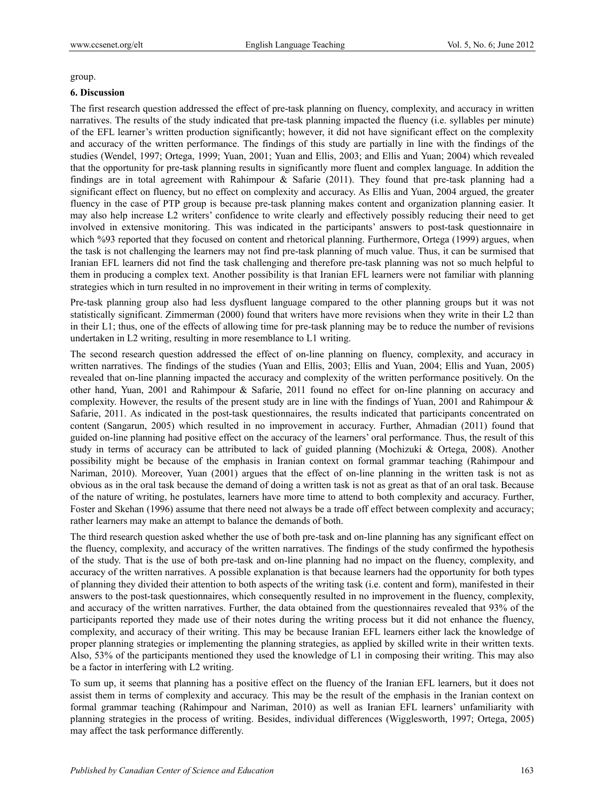group.

#### **6. Discussion**

The first research question addressed the effect of pre-task planning on fluency, complexity, and accuracy in written narratives. The results of the study indicated that pre-task planning impacted the fluency (i.e. syllables per minute) of the EFL learner's written production significantly; however, it did not have significant effect on the complexity and accuracy of the written performance. The findings of this study are partially in line with the findings of the studies (Wendel, 1997; Ortega, 1999; Yuan, 2001; Yuan and Ellis, 2003; and Ellis and Yuan; 2004) which revealed that the opportunity for pre-task planning results in significantly more fluent and complex language. In addition the findings are in total agreement with Rahimpour & Safarie (2011). They found that pre-task planning had a significant effect on fluency, but no effect on complexity and accuracy. As Ellis and Yuan, 2004 argued, the greater fluency in the case of PTP group is because pre-task planning makes content and organization planning easier. It may also help increase L2 writers' confidence to write clearly and effectively possibly reducing their need to get involved in extensive monitoring. This was indicated in the participants' answers to post-task questionnaire in which %93 reported that they focused on content and rhetorical planning. Furthermore, Ortega (1999) argues, when the task is not challenging the learners may not find pre-task planning of much value. Thus, it can be surmised that Iranian EFL learners did not find the task challenging and therefore pre-task planning was not so much helpful to them in producing a complex text. Another possibility is that Iranian EFL learners were not familiar with planning strategies which in turn resulted in no improvement in their writing in terms of complexity.

Pre-task planning group also had less dysfluent language compared to the other planning groups but it was not statistically significant. Zimmerman (2000) found that writers have more revisions when they write in their L2 than in their L1; thus, one of the effects of allowing time for pre-task planning may be to reduce the number of revisions undertaken in L2 writing, resulting in more resemblance to L1 writing.

The second research question addressed the effect of on-line planning on fluency, complexity, and accuracy in written narratives. The findings of the studies (Yuan and Ellis, 2003; Ellis and Yuan, 2004; Ellis and Yuan, 2005) revealed that on-line planning impacted the accuracy and complexity of the written performance positively. On the other hand, Yuan, 2001 and Rahimpour & Safarie, 2011 found no effect for on-line planning on accuracy and complexity. However, the results of the present study are in line with the findings of Yuan, 2001 and Rahimpour & Safarie, 2011. As indicated in the post-task questionnaires, the results indicated that participants concentrated on content (Sangarun, 2005) which resulted in no improvement in accuracy. Further, Ahmadian (2011) found that guided on-line planning had positive effect on the accuracy of the learners' oral performance. Thus, the result of this study in terms of accuracy can be attributed to lack of guided planning (Mochizuki & Ortega, 2008). Another possibility might be because of the emphasis in Iranian context on formal grammar teaching (Rahimpour and Nariman, 2010). Moreover, Yuan (2001) argues that the effect of on-line planning in the written task is not as obvious as in the oral task because the demand of doing a written task is not as great as that of an oral task. Because of the nature of writing, he postulates, learners have more time to attend to both complexity and accuracy. Further, Foster and Skehan (1996) assume that there need not always be a trade off effect between complexity and accuracy; rather learners may make an attempt to balance the demands of both.

The third research question asked whether the use of both pre-task and on-line planning has any significant effect on the fluency, complexity, and accuracy of the written narratives. The findings of the study confirmed the hypothesis of the study. That is the use of both pre-task and on-line planning had no impact on the fluency, complexity, and accuracy of the written narratives. A possible explanation is that because learners had the opportunity for both types of planning they divided their attention to both aspects of the writing task (i.e. content and form), manifested in their answers to the post-task questionnaires, which consequently resulted in no improvement in the fluency, complexity, and accuracy of the written narratives. Further, the data obtained from the questionnaires revealed that 93% of the participants reported they made use of their notes during the writing process but it did not enhance the fluency, complexity, and accuracy of their writing. This may be because Iranian EFL learners either lack the knowledge of proper planning strategies or implementing the planning strategies, as applied by skilled write in their written texts. Also, 53% of the participants mentioned they used the knowledge of L1 in composing their writing. This may also be a factor in interfering with L2 writing.

To sum up, it seems that planning has a positive effect on the fluency of the Iranian EFL learners, but it does not assist them in terms of complexity and accuracy. This may be the result of the emphasis in the Iranian context on formal grammar teaching (Rahimpour and Nariman, 2010) as well as Iranian EFL learners' unfamiliarity with planning strategies in the process of writing. Besides, individual differences (Wigglesworth, 1997; Ortega, 2005) may affect the task performance differently.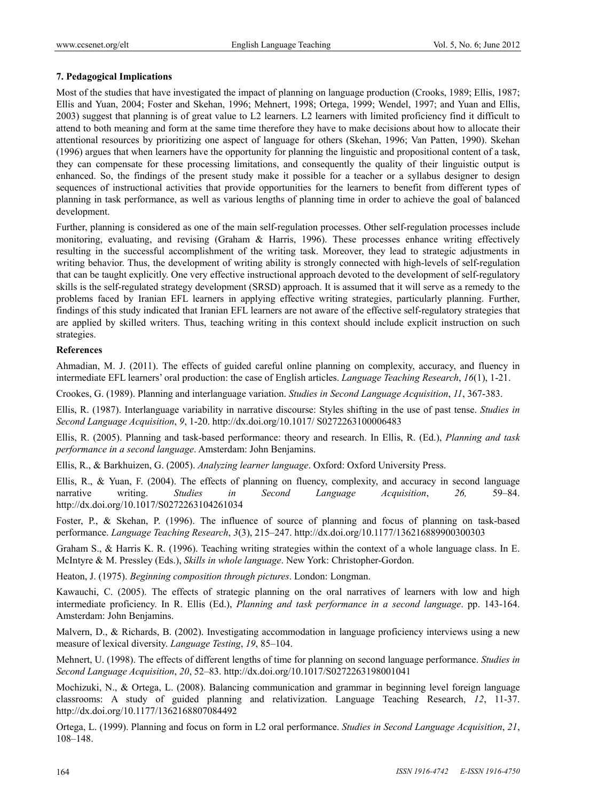## **7. Pedagogical Implications**

Most of the studies that have investigated the impact of planning on language production (Crooks, 1989; Ellis, 1987; Ellis and Yuan, 2004; Foster and Skehan, 1996; Mehnert, 1998; Ortega, 1999; Wendel, 1997; and Yuan and Ellis, 2003) suggest that planning is of great value to L2 learners. L2 learners with limited proficiency find it difficult to attend to both meaning and form at the same time therefore they have to make decisions about how to allocate their attentional resources by prioritizing one aspect of language for others (Skehan, 1996; Van Patten, 1990). Skehan (1996) argues that when learners have the opportunity for planning the linguistic and propositional content of a task, they can compensate for these processing limitations, and consequently the quality of their linguistic output is enhanced. So, the findings of the present study make it possible for a teacher or a syllabus designer to design sequences of instructional activities that provide opportunities for the learners to benefit from different types of planning in task performance, as well as various lengths of planning time in order to achieve the goal of balanced development.

Further, planning is considered as one of the main self-regulation processes. Other self-regulation processes include monitoring, evaluating, and revising (Graham & Harris, 1996). These processes enhance writing effectively resulting in the successful accomplishment of the writing task. Moreover, they lead to strategic adjustments in writing behavior. Thus, the development of writing ability is strongly connected with high-levels of self-regulation that can be taught explicitly. One very effective instructional approach devoted to the development of self-regulatory skills is the self-regulated strategy development (SRSD) approach. It is assumed that it will serve as a remedy to the problems faced by Iranian EFL learners in applying effective writing strategies, particularly planning. Further, findings of this study indicated that Iranian EFL learners are not aware of the effective self-regulatory strategies that are applied by skilled writers. Thus, teaching writing in this context should include explicit instruction on such strategies.

### **References**

Ahmadian, M. J. (2011). The effects of guided careful online planning on complexity, accuracy, and fluency in intermediate EFL learners' oral production: the case of English articles. *Language Teaching Research*, *16*(1), 1-21.

Crookes, G. (1989). Planning and interlanguage variation. *Studies in Second Language Acquisition*, *11*, 367-383.

Ellis, R. (1987). Interlanguage variability in narrative discourse: Styles shifting in the use of past tense. *Studies in Second Language Acquisition*, *9*, 1-20. http://dx.doi.org/10.1017/ S0272263100006483

Ellis, R. (2005). Planning and task-based performance: theory and research. In Ellis, R. (Ed.), *Planning and task performance in a second language*. Amsterdam: John Benjamins.

Ellis, R., & Barkhuizen, G. (2005). *Analyzing learner language*. Oxford: Oxford University Press.

Ellis, R., & Yuan, F. (2004). The effects of planning on fluency, complexity, and accuracy in second language narrative writing. *Studies in Second Language Acquisition*, *26,* 59–84. http://dx.doi.org/10.1017/S0272263104261034

Foster, P., & Skehan, P. (1996). The influence of source of planning and focus of planning on task-based performance. *Language Teaching Research*, *3*(3), 215–247. http://dx.doi.org/10.1177/136216889900300303

Graham S., & Harris K. R. (1996). Teaching writing strategies within the context of a whole language class. In E. McIntyre & M. Pressley (Eds.), *Skills in whole language*. New York: Christopher-Gordon.

Heaton, J. (1975). *Beginning composition through pictures*. London: Longman.

Kawauchi, C. (2005). The effects of strategic planning on the oral narratives of learners with low and high intermediate proficiency. In R. Ellis (Ed.), *Planning and task performance in a second language*. pp. 143-164. Amsterdam: John Benjamins.

Malvern, D., & Richards, B. (2002). Investigating accommodation in language proficiency interviews using a new measure of lexical diversity. *Language Testing*, *19*, 85–104.

Mehnert, U. (1998). The effects of different lengths of time for planning on second language performance. *Studies in Second Language Acquisition*, *20*, 52–83. http://dx.doi.org/10.1017/S0272263198001041

Mochizuki, N., & Ortega, L. (2008). Balancing communication and grammar in beginning level foreign language classrooms: A study of guided planning and relativization. Language Teaching Research, *12*, 11-37. http://dx.doi.org/10.1177/1362168807084492

Ortega, L. (1999). Planning and focus on form in L2 oral performance. *Studies in Second Language Acquisition*, *21*, 108–148.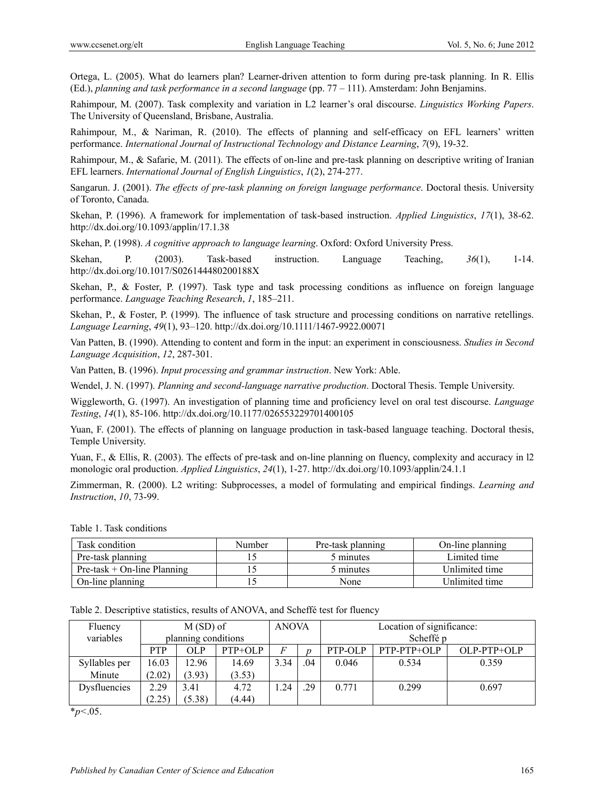Ortega, L. (2005). What do learners plan? Learner-driven attention to form during pre-task planning. In R. Ellis (Ed.), *planning and task performance in a second language* (pp. 77 – 111). Amsterdam: John Benjamins.

Rahimpour, M. (2007). Task complexity and variation in L2 learner's oral discourse. *Linguistics Working Papers*. The University of Queensland, Brisbane, Australia.

Rahimpour, M., & Nariman, R. (2010). The effects of planning and self-efficacy on EFL learners' written performance. *International Journal of Instructional Technology and Distance Learning*, *7*(9), 19-32.

Rahimpour, M., & Safarie, M. (2011). The effects of on-line and pre-task planning on descriptive writing of Iranian EFL learners. *International Journal of English Linguistics*, *1*(2), 274-277.

Sangarun. J. (2001). *The effects of pre-task planning on foreign language performance*. Doctoral thesis. University of Toronto, Canada.

Skehan, P. (1996). A framework for implementation of task-based instruction. *Applied Linguistics*, *17*(1), 38-62. http://dx.doi.org/10.1093/applin/17.1.38

Skehan, P. (1998). *A cognitive approach to language learning*. Oxford: Oxford University Press.

Skehan, P. (2003). Task-based instruction. Language Teaching, *36*(1), 1-14. http://dx.doi.org/10.1017/S026144480200188X

Skehan, P., & Foster, P. (1997). Task type and task processing conditions as influence on foreign language performance. *Language Teaching Research*, *1*, 185–211.

Skehan, P., & Foster, P. (1999). The influence of task structure and processing conditions on narrative retellings. *Language Learning*, *49*(1), 93–120. http://dx.doi.org/10.1111/1467-9922.00071

Van Patten, B. (1990). Attending to content and form in the input: an experiment in consciousness. *Studies in Second Language Acquisition*, *12*, 287-301.

Van Patten, B. (1996). *Input processing and grammar instruction*. New York: Able.

Wendel, J. N. (1997). *Planning and second-language narrative production*. Doctoral Thesis. Temple University.

Wiggleworth, G. (1997). An investigation of planning time and proficiency level on oral test discourse. *Language Testing*, *14*(1), 85-106. http://dx.doi.org/10.1177/026553229701400105

Yuan, F. (2001). The effects of planning on language production in task-based language teaching. Doctoral thesis, Temple University.

Yuan, F., & Ellis, R. (2003). The effects of pre-task and on-line planning on fluency, complexity and accuracy in 12 monologic oral production. *Applied Linguistics*, *24*(1), 1-27. http://dx.doi.org/10.1093/applin/24.1.1

Zimmerman, R. (2000). L2 writing: Subprocesses, a model of formulating and empirical findings. *Learning and Instruction*, *10*, 73-99.

|  |  | Table 1. Task conditions |
|--|--|--------------------------|
|--|--|--------------------------|

| Task condition                 | Number<br>Pre-task planning |           | On-line planning |
|--------------------------------|-----------------------------|-----------|------------------|
| Pre-task planning              |                             | 5 minutes | Limited time     |
| $Pre$ -task + On-line Planning |                             | 5 minutes | Unlimited time   |
| On-line planning               |                             | None      | Unlimited time   |

|  |  | Table 2. Descriptive statistics, results of ANOVA, and Scheffé test for fluency |
|--|--|---------------------------------------------------------------------------------|
|--|--|---------------------------------------------------------------------------------|

| Fluency<br>variables | $M(SD)$ of<br>planning conditions |        | <b>ANOVA</b> |                | Location of significance:<br>Scheffé p |         |               |             |
|----------------------|-----------------------------------|--------|--------------|----------------|----------------------------------------|---------|---------------|-------------|
|                      |                                   |        |              |                |                                        |         |               |             |
|                      | <b>PTP</b>                        | OL P   | $PTP+OLP$    | $\overline{F}$ | ŋ                                      | PTP-OLP | $PTP-PTP+OLP$ | OLP-PTP+OLP |
| Syllables per        | 16.03                             | 12.96  | 14.69        | 3.34           | .04                                    | 0.046   | 0.534         | 0.359       |
| Minute               | (2.02)                            | (3.93) | (3.53)       |                |                                        |         |               |             |
| Dysfluencies         | 2.29                              | 3.41   | 4.72         | 1.24           | .29                                    | 0.771   | 0.299         | 0.697       |
|                      | (2.25)                            | (5.38) | (4.44)       |                |                                        |         |               |             |

\**p<*.05.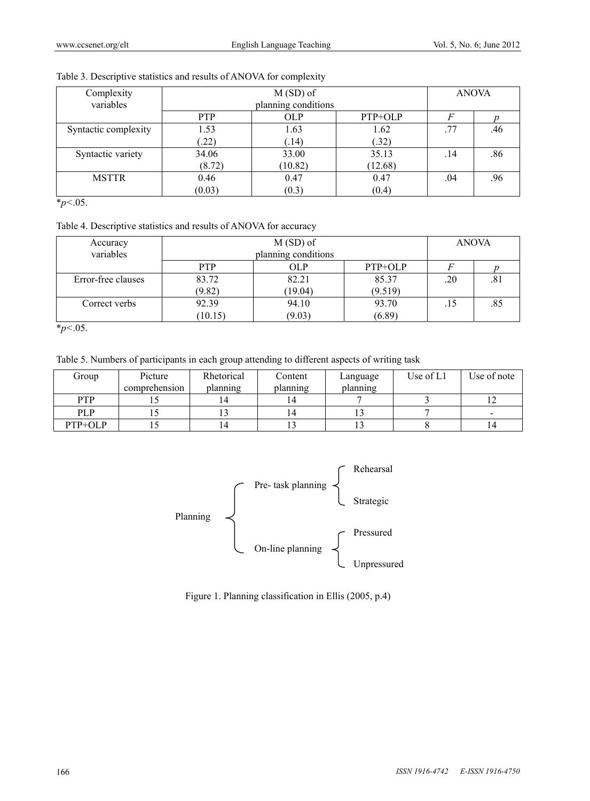| Complexity           |            | <b>ANOVA</b>        |         |     |     |
|----------------------|------------|---------------------|---------|-----|-----|
| variables            |            | planning conditions |         |     |     |
|                      | <b>PTP</b> | <b>OLP</b>          | PTP+OLP |     |     |
| Syntactic complexity | 1.53       | 1.63                | 1.62    | .77 | .46 |
|                      | (22)       | (.14)               | (.32)   |     |     |
| Syntactic variety    | 34.06      | 33.00               | 35.13   | .14 | .86 |
|                      | (8.72)     | (10.82)             | (12.68) |     |     |
| <b>MSTTR</b>         | 0.46       | 0.47                | 0.47    | .04 | .96 |
|                      | (0.03)     | (0.3)               | (0.4)   |     |     |

## Table 3. Descriptive statistics and results of ANOVA for complexity

\**p<*.05.

### Table 4. Descriptive statistics and results of ANOVA for accuracy

| Accuracy           |                     | <b>ANOVA</b> |         |     |     |
|--------------------|---------------------|--------------|---------|-----|-----|
| variables          | planning conditions |              |         |     |     |
|                    | <b>PTP</b>          | OLP          | PTP+OLP |     |     |
| Error-free clauses | 83.72               | 82.21        | 85.37   | .20 | .81 |
|                    | (9.82)              | (19.04)      | (9.519) |     |     |
| Correct verbs      | 92.39               | 94.10        | 93.70   |     | .85 |
|                    | (10.15)             | (9.03)       | (6.89)  |     |     |

\**p<*.05.

Table 5. Numbers of participants in each group attending to different aspects of writing task

| Group      | Picture       | Rhetorical | Content        | Language | Use of L1 | Use of note |
|------------|---------------|------------|----------------|----------|-----------|-------------|
|            | comprehension | planning   | planning       | planning |           |             |
| <b>PTP</b> |               |            | .4             |          |           |             |
| <b>PLP</b> |               |            | $\overline{4}$ |          |           |             |
| PTP+OLP    |               |            |                |          |           |             |



Figure 1. Planning classification in Ellis (2005, p.4)